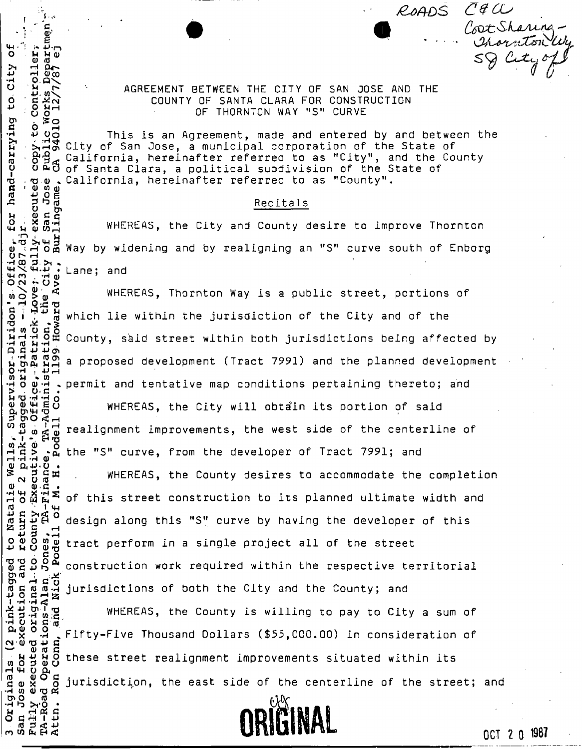>1 H U . fi *Q)CO*  AGREEMENT BETWEEN THE CITY OF SAN JOSE AND THE<br>  $\frac{1}{5}$  AGREEMENT BETWEEN THE CITY OF SAN JOSE AND THE<br>  $\frac{1}{5}$  ACCOUNTY OF SANTA CLARA FOR CONSTRUCTION COUNTY OF SANTA CLARA FOR CONSTRUCTION OF THORNTON WAY "S" CURVE

 $\frac{1}{2}$  **Cot** sharing  $m_{\text{max}}$  Km<sup>2</sup> (*Korneon Choin*) ° S5 \* \* ss ^ CcXc, ^

ROADS CAU

 $f = \frac{1}{2}$ 

Controll

aan<br>ditug<br>dinam

O

Office

sor-Diridon

Natali<br>urn of

**13 3 C rH** 

ecution

Originals<br>n Jose for<br>ily execut

•H W 0) T3 « **O** additional<br>Mark<br>M H Patt **O G r-H I 4-»** 

 $2^{6}$   $2^{6}$   $2^{10}$ This is an Agreement, made and entered by and between the City of San Jose, a municipal corporation of the State of California, hereinafter referred to as "City", and the County of Santa Clara, a political subdivision of the State of California, hereinafter referred to as "County".

e 3 a<br>b 2 (Recitals<br>Q 2 8 3 2 (Recitals )<br>Q 2 3 3 2 3 2 WHEREAS, the City and County  $\vec{B}$   $\vec{A}$  = WHEREAS, the City and County desire to improve Thornton  $\overline{H}$   $\overline{H}$   $\overline{\psi}$   $\overline{G}$  $\overline{H}$  $2 \times 2 \times 2 = 2 \times 2 = 2 \times 2 = 2 \times 2 = 2 \times 2 = 2 \times 2 = 2 \times 2 = 2 \times 2 = 2 \times 2 = 2 \times 2 = 2 \times 2 = 2 \times 2 = 2 \times 2 = 2 \times 2 = 2 \times 2 = 2 \times 2 = 2 \times 2 = 2 \times 2 = 2 \times 2 = 2 \times 2 = 2 \times 2 = 2 \times 2 = 2 \times 2 = 2 \times 2 = 2 \times 2 = 2 \times 2 = 2 \times 2 = 2 \times 2 = 2 \times 2 = 2 \times 2 = 2 \times 2 =$ a Way by widening and by realigning an "S" curve south of Enborg  $\therefore$  Lane; and

WHEREAS, Thornton Way is a public street, portions of CO . -H a) ' O Csj O >  $S \restriction \vartheta$   $\exists$  which lie within the jurisdiction of the City and of the o i ;^ S which lie within the jurisdiction of the City and of the *<o x*   $H \rightarrow 90H$ -**H**'**JO**'**M**'**H**^ County, said street within both jurisdictions being affected by  $\mathbf{H} \times \mathbf{H} \times \mathbf{H} \times \mathbf{H} \times \mathbf{H}$ <sup>a</sup> proposed development (Tract 7991) and the planned development **0 + 1**<br> **D** + 1<br> **C** + 1 •**H** o **O>-H** \* permit and tentative map conditions pertaining thereto; and

*u* <6 *"J* -h o WHEREAS, the City will obtain its portion of said aSiS-u <sup>0</sup>  $\mathcal{H}_{\text{max}}$  is positive interaction in the City will obtain its portion of said  $\mathcal{H}_{\text{max}}$ ்ப் **ம** <c ்ப 3 oj ^ realignment improvements, the west side of the centerline of **I E-i no M QL) o H G** > the "S" curve, from the developer of Tract 7991; and

**iH »H ()>**   $\sim$   $\overline{C}$   $\overline{\Xi}$   $\Xi$   $\Xi$  . WHEREAS, the County desires to accommodate the completion **A 번 용 면 된**  of this street construction to its planned ultimate width and  $m = 1.4$  $5.25$  o design along this "S" curve by having the developer of this  $\ddot{\theta}$ ,  $\ddot{\Theta}$ ,  $\ddot{\theta}$ ,  $\ddot{\theta}$  $\overline{z}$  subset  $\overline{z}$ tract perform in a single project all of the street perform in a single project all of the street all of the street all of the street all of the street all of the<br>The street all of the street all of the street all of the street all of the street all of the street all of th <u>୦</u> ଘ ר כן <del>ג</del>ים<br>שמ construction work required within the respective territorial g 0 0 M construction work required within the respective t<br> **E** d a d i<br>
5 d a d jurisdictions of both the City and the County; and<br>-poca and -portal and -portal and the County; and<br>-post-

WHEREAS, the County is willing to pay to City a sum of -H *O U* C 'ro Fifty-Five Thousand Dollars (\$55,000.00) in consideration of **W**<sup>O</sup> 0 0 2 4<br> **W** 0 9 2 4<br> **W** 4 4 4 9 these street realignment improvements situated within its w  $\frac{w}{2}$   $\frac{w}{2}$  jurisdiction, the east side of the centerline of the street; and



**UBIDUITUS SE PRODUCTS DE L'ARCHITECT DE L'ARCHITECT DE L'ARCHITECT DE L'ARCHITECT DE L'ARCHITECT DE L'ARCHITECT**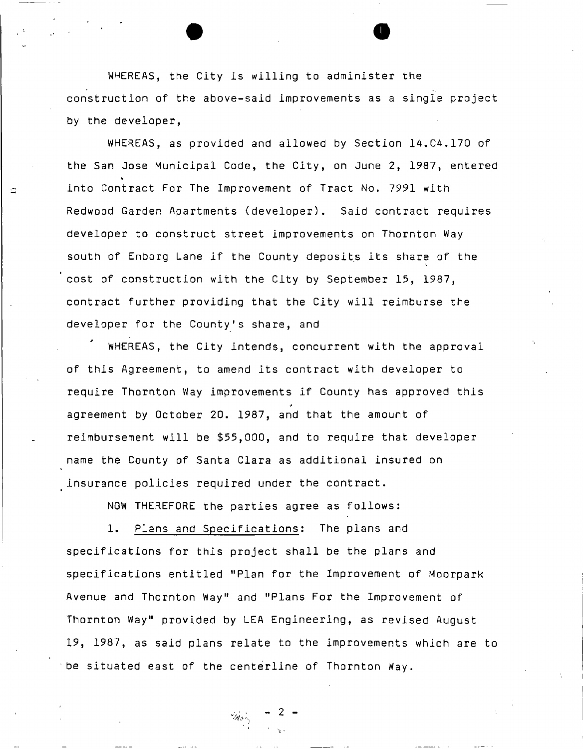WHEREAS, the City is willing to administer the construction of the above-said improvements as a single project by the developer,

WHEREAS, as provided and allowed by Section 14.04.170 of the San Jose Municipal Code, the City, on June 2, 1987, entered into Contract For The Improvement of Tract No. 7991 with Redwood Garden Apartments (developer). Said contract requires developer to construct street improvements on Thornton Way south of Enborg Lane if the County deposits its share of the cost of construction with the City by September 15, 1987, contract further providing that the City will reimburse the developer for the County's share, and

WHEREAS, the City intends, concurrent with the approval of this Agreement, to amend its contract with developer to require Thornton Way improvements if County has approved this ii agreement by October 20. 1987, and that the amount of reimbursement will be \$55,000, and to require that developer name the County of Santa Clara as additional insured on insurance policies required under the contract.

NOW THEREFORE the parties agree as follows:

1. Plans and Specifications: The plans and specifications for this project shall be the plans and specifications entitled "Plan for the Improvement of Moorpark Avenue and Thornton way and Frans For the Improvement of Thornton Way" provided by LEA Engineering, as revised August 19, 1987, as said plans relate to the improvements which are to be situated east of the centerline of Thornton Way.

- 2 -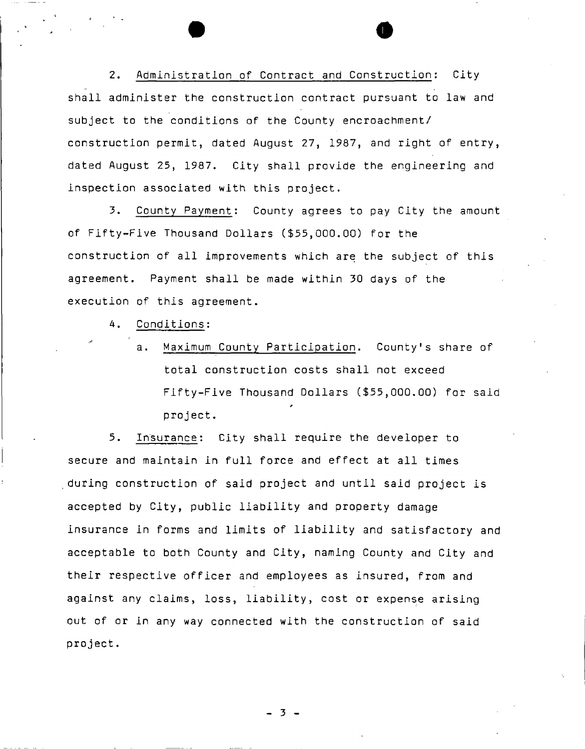2. Administration of Contract and Construction: City shall administer the construction contract pursuant to law and subject to the conditions of the County encroachment/ construction permit, dated August 27, 1987, and right of entry, dated August 25, 1987. City shall provide the engineering and inspection associated with this project.

3. County Payment: County agrees to pay City the amount of Fifty-Five Thousand Dollars (\$55,000.00) for the construction of all improvements which are the subject of this agreement. Payment shall be made within 30 days of the execution of this agreement.

4. Conditions:

a. Maximum County Participation. County's share of total construction costs shall not exceed Fifty-Five Thousand Dollars (\$55,000.00) for said project.

 $5.$ Insurance: City shall require the developer to secure and maintain in full force and effect at all times during construction of said project and until said project is accepted by City, public liability and property damage insurance in forms and limits of liability and satisfactory and acceptable to both County and City, naming County and City and their respective officer and employees as insured, from and against any claims, loss, liability, cost or expense arising out of or in any way connected with the construction of said project.

- 3 -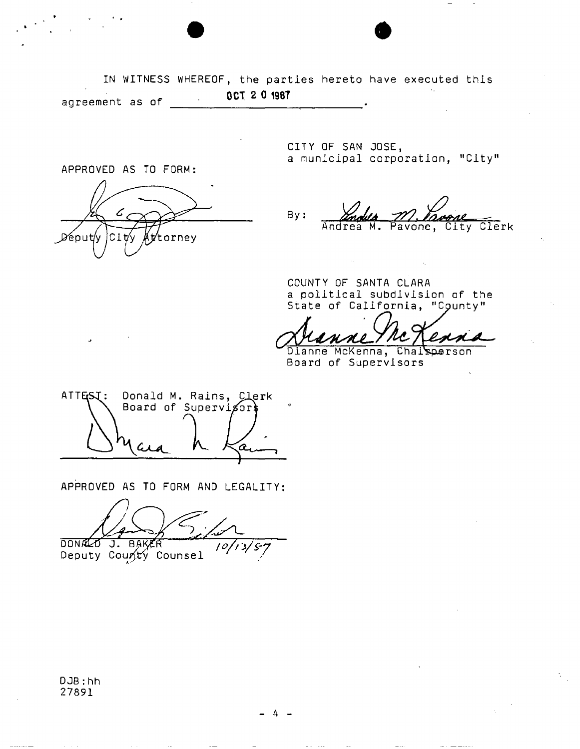IN WITNESS WHEREOF, the parties hereto have executed this **OCT 2 0 1987**  agreement as of  $\overline{\phantom{a}}$ 

APPROVED AS TO FORM: ¦Cit⁄v (ttorney Déput/y

CITY OF SAN JOSE, a municipal corporation, "City"

 $By:$ 7 *. ^Li*  Andrea M. Pavone, City Clerk

COUNTY OF SANTA CLARA a political subdivision of the State of California, "County"

Dianne McKenna, Chaisperson Board of Supervisors

ATTESI: Donald M. Rains, Clerk Board of Supervisor

APPROVED AS TO FORM AND LEGALITY

DONALO J. BAKER  $\sqrt{O(13/57)}$ 

Deputy County Counsel '

DJB:hh 27891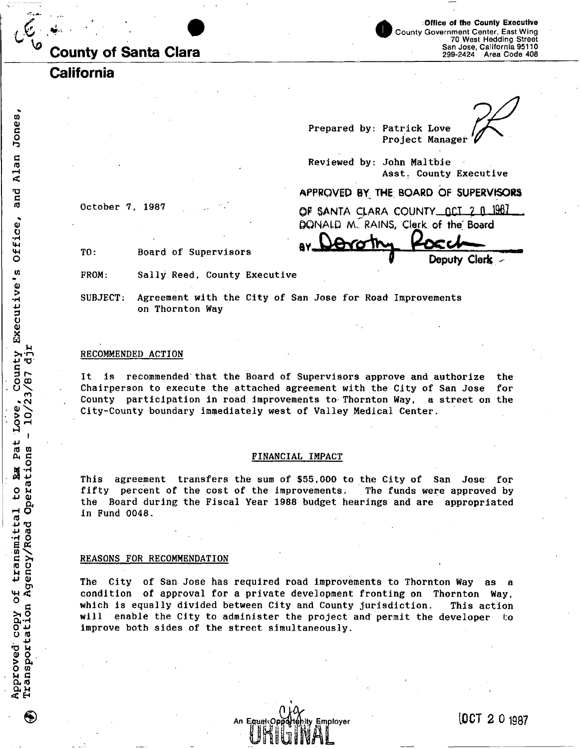| <b>County of Santa Clara</b> |  |  |
|------------------------------|--|--|
|                              |  |  |

**Office of the County Executive**  County Government Center, East Wing 70 West Hedding Street San Jose, California 95110 299-2424 Area Code 408

**Deputy Clerk** 

**California** 

**Prepared by: Patrick Love Project Manager** 

**Reviewed by: John Maltbie Asst. County Executive** 

## **APPROVED BY^ THE BOARD OF SUPERVISORS**

**October 7, 1987** 

**OF §ANTA CJ.ARA COUNTY OCT 2 0 19B7 &GNALQ M." RAINS, Clerk of the Board** 

**TO: Board of Supervisors** 

**FROM: Sally Reed, County Executive** 

**SUBJECT: Agreement with the City of San Jose for Road Improvements on Thornton Way** 

#### **RECOMMENDED ACTION**

**It is recommended that the Board of Supervisors approve and authorize the Chairperson to execute the attached agreement with the City of San Jose for County participation in road improvements to Thornton Way, a street on the City-County boundary immediately west of Valley Medical Center.** 

#### **FINANCIAL IMPACT**

**This agreement transfers the sum of \$55,000 to the City of San Jose for fifty percent of the cost of the improvements. The funds were approved by the Board during the Fiscal Year 1988 budget hearings and are appropriated in Fund 0048.** 

### **REASONS FOR RECOMMENDATION**

**The City of San Jose has required road improvements to Thornton Way as a condition of approval for a private development fronting on Thornton Way, which is equally divided between City and County jurisdiction. This action**  will enable the City to administer the project and permit the developer **improve both sides of the street simultaneously.** 

**Employer** 

[OCT 2 0 1987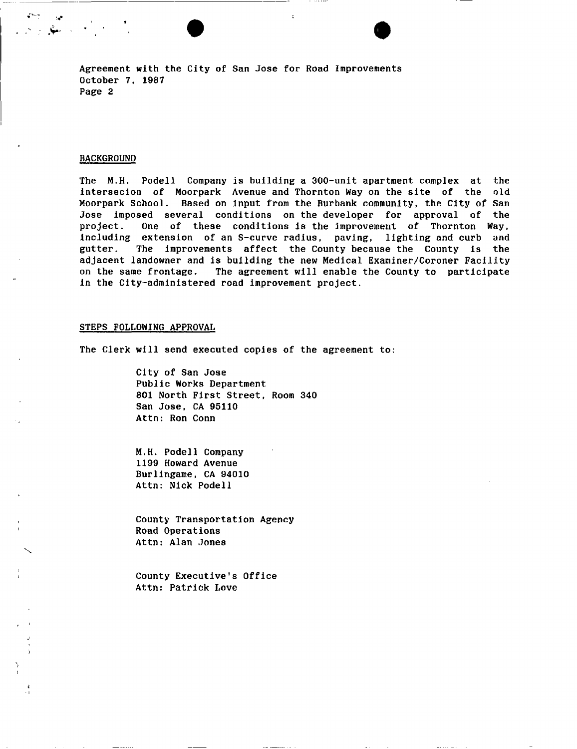**Agreement with the City of San Jose for Road Improvements October 7, 1987 Page 2** 

#### **BACKGROUND**

**The M.H. Podell Company is building a 300-unit apartment complex at the intersecion of Moorpark Avenue and Thornton Way on the site of the old Moorpark School. Based on input from the Burbank community, the City of San Jose imposed several conditions on the developer for approval of the project. One of these conditions is the improvement of Thornton Way, including extension of an S-curve radius, paving, lighting and curb and gutter. The improvements affect the County because the County is the adjacent landowner and is building the new Medical Examiner/Coroner Facility on the same frontage. The agreement will enable the County to participate in the City-administered road improvement project.** 

## **STEPS FOLLOWING APPROVAL**

**The Clerk will send executed copies of the agreement to:** 

**City of San Jose Public Works Department 801 North First Street, Room 340 San Jose, CA 95110 Attn: Ron Conn** 

**M.H. Podell Company 1199 Howard Avenue Burlingame, CA 94010 Attn: Nick Podell** 

**County Transportation Agency Road Operations Attn: Alan Jones** 

**County Executive's Office Attn: Patrick Love**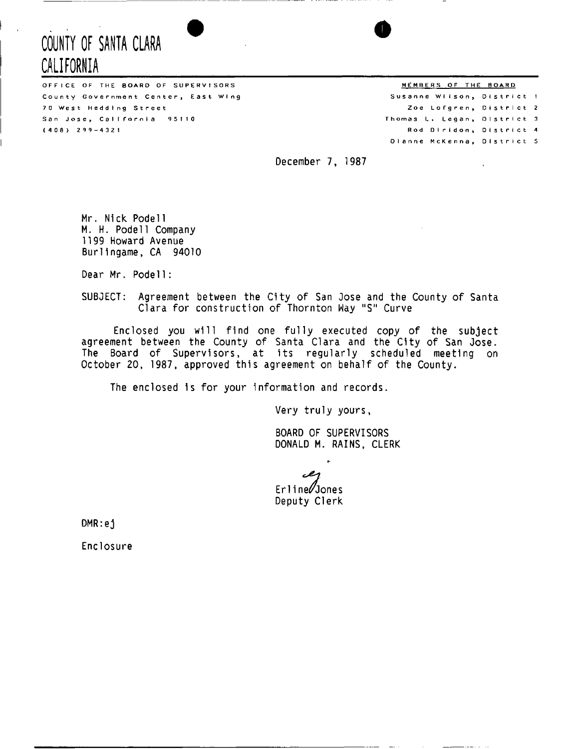# **COUNTY OF SANTA CLARA CALIFORNIA**

OFFICE OF THE BOARD OF SUPERVISORS THE SOLE AND THE BOARD MEMBERS OF THE BOARD County Government Center, East Wing 70 West Hedding Street San Jose, California 95110  $(408)$   $299-4321$ 

Susanne Wilson, District 1 Zoe Lofgren, District 2 Thomas L. Legan, District 3 Rod Diridon, District 4 Dianne McKenna, District 5

December 7, 1987

Mr. Nick Podell M. H. Podell Company 1199 Howard Avenue Burlingame, CA 94010

Dear Mr. Podel1:

SUBJECT: Agreement between the City of San Jose and the County of Santa Clara for construction of Thornton Way "S" Curve

Enclosed you will find one fully executed copy of the subject agreement between the County of Santa Clara and the City of San Jose. The Board of Supervisors, at its regularly scheduled meeting on October 20, 1987, approved this agreement on behalf of the County.

The enclosed is for your information and records.

Very truly yours

BOARD OF SUPERVISORS DONALD M. RAINS, CLERK

 $\ddot{\phantom{0}}$ 

بمص Erline/Jones Deputy Clerk

DMR:ej

Enclosure